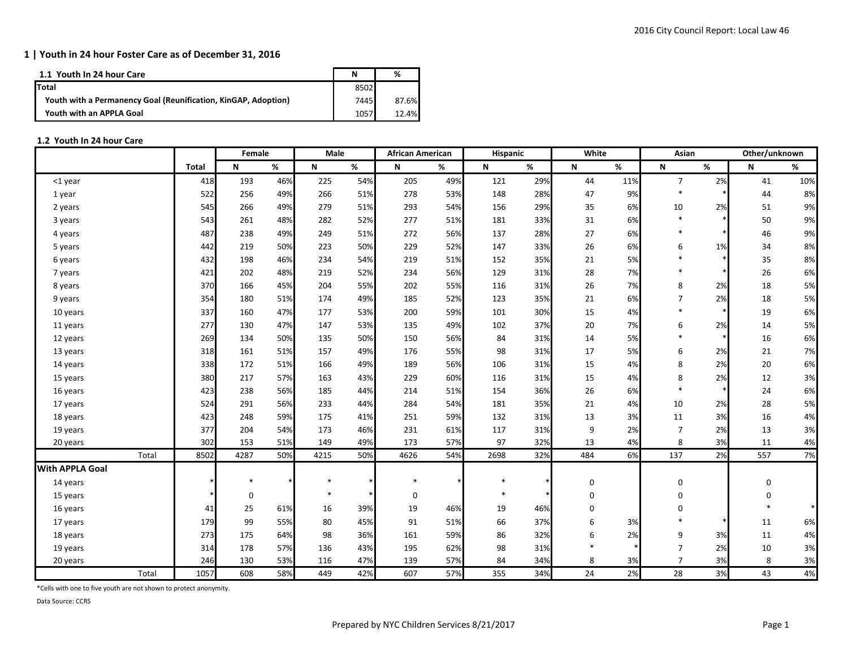| 1.1 Youth In 24 hour Care                                      |      | %     |
|----------------------------------------------------------------|------|-------|
| Total                                                          | 8502 |       |
| Youth with a Permanency Goal (Reunification, KinGAP, Adoption) | 7445 | 87.6% |
| Youth with an APPLA Goal                                       | 1057 | .4%   |

## **1.2 Youth In 24 hour Care**

|                        |       |              | Female      |     | Male   |     | <b>African American</b> |     | Hispanic |     | White       |     | Asian          |    | Other/unknown |     |
|------------------------|-------|--------------|-------------|-----|--------|-----|-------------------------|-----|----------|-----|-------------|-----|----------------|----|---------------|-----|
|                        |       | <b>Total</b> | N           | %   | N      | %   | N                       | %   | N        | %   | N           | %   | N              | %  | N             | %   |
| <1 year                |       | 418          | 193         | 46% | 225    | 54% | 205                     | 49% | 121      | 29% | 44          | 11% | $\overline{7}$ | 2% | 41            | 10% |
| 1 year                 |       | 522          | 256         | 49% | 266    | 51% | 278                     | 53% | 148      | 28% | 47          | 9%  | $\ast$         |    | 44            | 8%  |
| 2 years                |       | 545          | 266         | 49% | 279    | 51% | 293                     | 54% | 156      | 29% | 35          | 6%  | 10             | 2% | 51            | 9%  |
| 3 years                |       | 543          | 261         | 48% | 282    | 52% | 277                     | 51% | 181      | 33% | 31          | 6%  | $\ast$         |    | 50            | 9%  |
| 4 years                |       | 487          | 238         | 49% | 249    | 51% | 272                     | 56% | 137      | 28% | 27          | 6%  | $\ast$         |    | 46            | 9%  |
| 5 years                |       | 442          | 219         | 50% | 223    | 50% | 229                     | 52% | 147      | 33% | 26          | 6%  | 6              | 1% | 34            | 8%  |
| 6 years                |       | 432          | 198         | 46% | 234    | 54% | 219                     | 51% | 152      | 35% | 21          | 5%  |                |    | 35            | 8%  |
| 7 years                |       | 421          | 202         | 48% | 219    | 52% | 234                     | 56% | 129      | 31% | 28          | 7%  |                |    | 26            | 6%  |
| 8 years                |       | 370          | 166         | 45% | 204    | 55% | 202                     | 55% | 116      | 31% | 26          | 7%  | 8              | 2% | 18            | 5%  |
| 9 years                |       | 354          | 180         | 51% | 174    | 49% | 185                     | 52% | 123      | 35% | 21          | 6%  | $\overline{7}$ | 2% | 18            | 5%  |
| 10 years               |       | 337          | 160         | 47% | 177    | 53% | 200                     | 59% | 101      | 30% | 15          | 4%  |                |    | 19            | 6%  |
| 11 years               |       | 277          | 130         | 47% | 147    | 53% | 135                     | 49% | 102      | 37% | 20          | 7%  | 6              | 2% | 14            | 5%  |
| 12 years               |       | 269          | 134         | 50% | 135    | 50% | 150                     | 56% | 84       | 31% | 14          | 5%  | $\ast$         |    | 16            | 6%  |
| 13 years               |       | 318          | 161         | 51% | 157    | 49% | 176                     | 55% | 98       | 31% | 17          | 5%  | 6              | 2% | 21            | 7%  |
| 14 years               |       | 338          | 172         | 51% | 166    | 49% | 189                     | 56% | 106      | 31% | 15          | 4%  | 8              | 2% | 20            | 6%  |
| 15 years               |       | 380          | 217         | 57% | 163    | 43% | 229                     | 60% | 116      | 31% | 15          | 4%  | 8              | 2% | 12            | 3%  |
| 16 years               |       | 423          | 238         | 56% | 185    | 44% | 214                     | 51% | 154      | 36% | 26          | 6%  | $\ast$         |    | 24            | 6%  |
| 17 years               |       | 524          | 291         | 56% | 233    | 44% | 284                     | 54% | 181      | 35% | 21          | 4%  | 10             | 2% | 28            | 5%  |
| 18 years               |       | 423          | 248         | 59% | 175    | 41% | 251                     | 59% | 132      | 31% | 13          | 3%  | 11             | 3% | 16            | 4%  |
| 19 years               |       | 377          | 204         | 54% | 173    | 46% | 231                     | 61% | 117      | 31% | 9           | 2%  | $\overline{7}$ | 2% | 13            | 3%  |
| 20 years               |       | 302          | 153         | 51% | 149    | 49% | 173                     | 57% | 97       | 32% | 13          | 4%  | 8              | 3% | 11            | 4%  |
|                        | Total | 8502         | 4287        | 50% | 4215   | 50% | 4626                    | 54% | 2698     | 32% | 484         | 6%  | 137            | 2% | 557           | 7%  |
| <b>With APPLA Goal</b> |       |              |             |     |        |     |                         |     |          |     |             |     |                |    |               |     |
| 14 years               |       |              | $\ast$      |     | $\ast$ |     | $\ast$                  |     | $\ast$   |     | 0           |     | 0              |    | $\pmb{0}$     |     |
| 15 years               |       |              | $\mathbf 0$ |     |        |     | $\boldsymbol{0}$        |     | $\ast$   |     | $\mathbf 0$ |     | 0              |    | 0             |     |
| 16 years               |       | 41           | 25          | 61% | 16     | 39% | 19                      | 46% | 19       | 46% | $\Omega$    |     | $\Omega$       |    |               |     |
| 17 years               |       | 179          | 99          | 55% | 80     | 45% | 91                      | 51% | 66       | 37% | 6           | 3%  |                |    | 11            | 6%  |
| 18 years               |       | 273          | 175         | 64% | 98     | 36% | 161                     | 59% | 86       | 32% | 6           | 2%  | 9              | 3% | 11            | 4%  |
| 19 years               |       | 314          | 178         | 57% | 136    | 43% | 195                     | 62% | 98       | 31% | $\ast$      |     | 7              | 2% | 10            | 3%  |
| 20 years               |       | 246          | 130         | 53% | 116    | 47% | 139                     | 57% | 84       | 34% | 8           | 3%  | $\overline{7}$ | 3% | 8             | 3%  |
|                        | Total | 1057         | 608         | 58% | 449    | 42% | 607                     | 57% | 355      | 34% | 24          | 2%  | 28             | 3% | 43            | 4%  |

\*Cells with one to five youth are not shown to protect anonymity.

Data Source: CCRS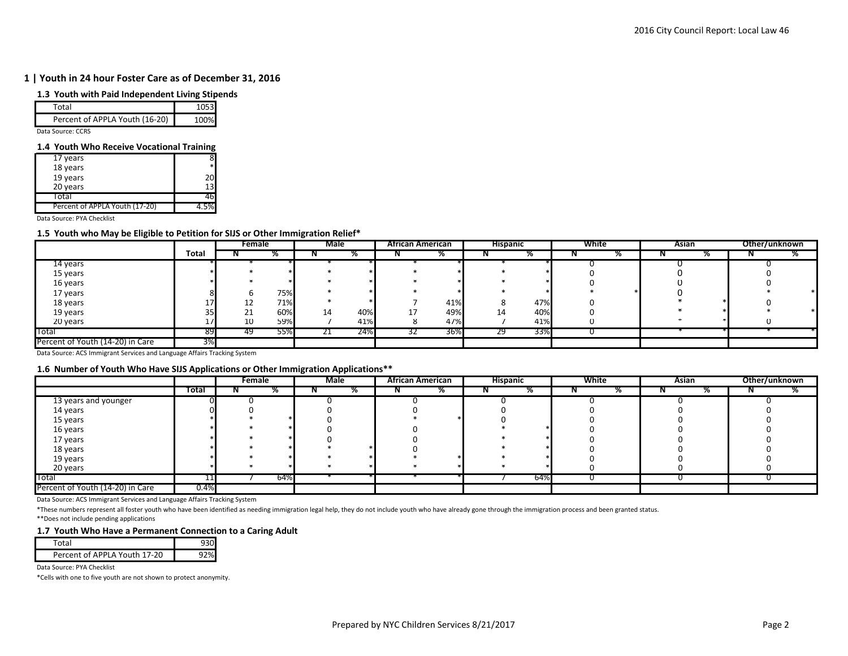#### **1.3 Youth with Paid Independent Living Stipends**

| Percent of APPLA Youth (16-20) |  |
|--------------------------------|--|
|                                |  |

Data Source: CCRS

#### **1.4 Youth Who Receive Vocational Training**

| 17 years                       |    |
|--------------------------------|----|
| 18 years                       | *  |
| 19 years                       | 20 |
| 20 years                       | 13 |
| Total                          | 16 |
| Percent of APPLA Youth (17-20) |    |

Data Source: PYA Checklist

#### **1.5 Youth who May be Eligible to Petition for SIJS or Other Immigration Relief\***

|                                  |       | Female |       | Male |     | <b>African American</b> |     | <b>Hispanic</b> |     | <b>White</b> | Asian | Other/unknown |  |
|----------------------------------|-------|--------|-------|------|-----|-------------------------|-----|-----------------|-----|--------------|-------|---------------|--|
|                                  | Total |        | 70    |      | 70  |                         |     |                 |     |              |       |               |  |
| 14 years                         |       |        |       |      |     |                         |     |                 |     |              |       |               |  |
| 15 years                         |       |        |       |      |     |                         |     |                 |     |              |       |               |  |
| 16 years                         |       |        |       |      |     |                         |     |                 |     |              |       |               |  |
| 17 years                         |       | n      | 75%   |      |     |                         |     |                 |     |              |       |               |  |
| 18 years                         |       | 12     | 71%   |      |     |                         | 41% |                 | 47% |              |       |               |  |
| 19 years                         |       | 21     | 60%   | 14   | 40% |                         | 49% | 14              | 40% |              |       |               |  |
| 20 years                         |       | 10     | 59%   |      | 41% |                         | 47% |                 | 41% |              |       |               |  |
| Total                            | 89    | -49    | ا 5%۔ |      | 24% | 32.                     | 36% | 29              | 33% |              |       |               |  |
| Percent of Youth (14-20) in Care | 3%    |        |       |      |     |                         |     |                 |     |              |       |               |  |

Data Source: ACS Immigrant Services and Language Affairs Tracking System

#### **1.6 Number of Youth Who Have SIJS Applications or Other Immigration Applications\*\***

|                                  |       | Female |     | Male |    | <b>African American</b> |    | <b>Hispanic</b> |     | White | <b>Asian</b> |  | Other/unknown |  |
|----------------------------------|-------|--------|-----|------|----|-------------------------|----|-----------------|-----|-------|--------------|--|---------------|--|
|                                  | Total |        | 70  |      | 70 |                         | 70 |                 |     |       |              |  |               |  |
| 13 years and younger             |       |        |     |      |    |                         |    |                 |     |       |              |  |               |  |
| 14 years                         |       |        |     |      |    |                         |    |                 |     |       |              |  |               |  |
| 15 years                         |       |        |     |      |    |                         |    |                 |     |       |              |  |               |  |
| 16 years                         |       |        |     |      |    |                         |    |                 |     |       |              |  |               |  |
| 17 years                         |       |        |     |      |    |                         |    |                 |     |       |              |  |               |  |
| 18 years                         |       |        |     |      |    |                         |    |                 |     |       |              |  |               |  |
| 19 years                         |       |        |     |      |    |                         |    |                 |     |       |              |  |               |  |
| 20 years                         |       |        |     |      |    |                         |    |                 |     |       |              |  |               |  |
| Total                            |       |        | 64% |      |    |                         |    |                 | 64% |       |              |  |               |  |
| Percent of Youth (14-20) in Care | 0.4%  |        |     |      |    |                         |    |                 |     |       |              |  |               |  |

Data Source: ACS Immigrant Services and Language Affairs Tracking System

\*These numbers represent all foster youth who have been identified as needing immigration legal help, they do not include youth who have already gone through the immigration process and been granted status.

\*\*Does not include pending applications

#### **1.7 Youth Who Have a Permanent Connection to a Caring Adult**

| Percent of APPLA Youth 17-20 |  |
|------------------------------|--|

Data Source: PYA Checklist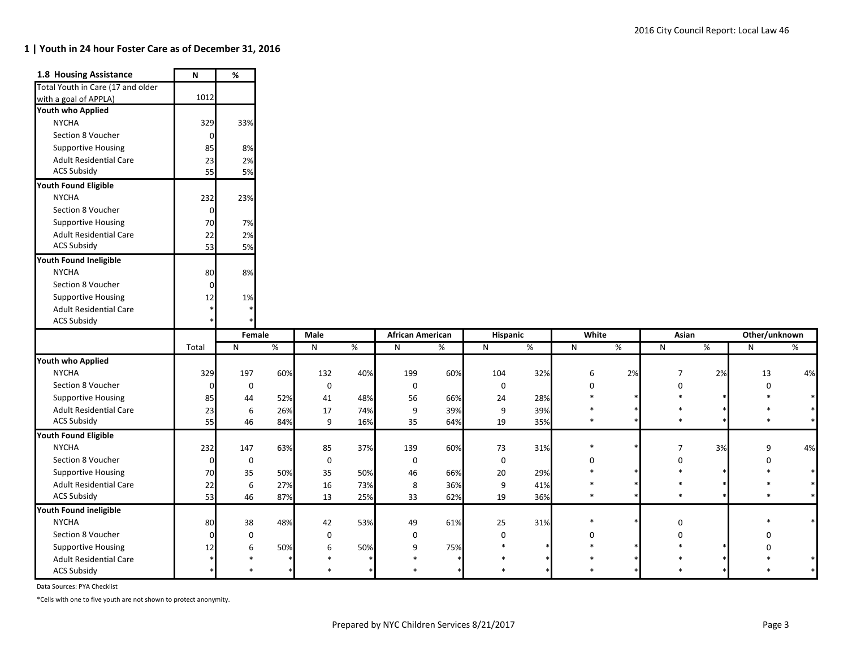| 1.8 Housing Assistance            | N        | %           |     |                |     |                         |     |              |     |              |    |                |      |               |        |
|-----------------------------------|----------|-------------|-----|----------------|-----|-------------------------|-----|--------------|-----|--------------|----|----------------|------|---------------|--------|
| Total Youth in Care (17 and older |          |             |     |                |     |                         |     |              |     |              |    |                |      |               |        |
| with a goal of APPLA)             | 1012     |             |     |                |     |                         |     |              |     |              |    |                |      |               |        |
| <b>Youth who Applied</b>          |          |             |     |                |     |                         |     |              |     |              |    |                |      |               |        |
| <b>NYCHA</b>                      | 329      | 33%         |     |                |     |                         |     |              |     |              |    |                |      |               |        |
| Section 8 Voucher                 | $\Omega$ |             |     |                |     |                         |     |              |     |              |    |                |      |               |        |
| <b>Supportive Housing</b>         | 85       | 8%          |     |                |     |                         |     |              |     |              |    |                |      |               |        |
| Adult Residential Care            | 23       | 2%          |     |                |     |                         |     |              |     |              |    |                |      |               |        |
| <b>ACS Subsidy</b>                | 55       | 5%          |     |                |     |                         |     |              |     |              |    |                |      |               |        |
| <b>Youth Found Eligible</b>       |          |             |     |                |     |                         |     |              |     |              |    |                |      |               |        |
| <b>NYCHA</b>                      | 232      | 23%         |     |                |     |                         |     |              |     |              |    |                |      |               |        |
| Section 8 Voucher                 |          |             |     |                |     |                         |     |              |     |              |    |                |      |               |        |
| <b>Supportive Housing</b>         | 70       | 7%          |     |                |     |                         |     |              |     |              |    |                |      |               |        |
| Adult Residential Care            | 22       | 2%          |     |                |     |                         |     |              |     |              |    |                |      |               |        |
| <b>ACS Subsidy</b>                | 53       | 5%          |     |                |     |                         |     |              |     |              |    |                |      |               |        |
| Youth Found Ineligible            |          |             |     |                |     |                         |     |              |     |              |    |                |      |               |        |
| <b>NYCHA</b>                      | 80       | 8%          |     |                |     |                         |     |              |     |              |    |                |      |               |        |
| Section 8 Voucher                 |          |             |     |                |     |                         |     |              |     |              |    |                |      |               |        |
| <b>Supportive Housing</b>         | 12       | 1%          |     |                |     |                         |     |              |     |              |    |                |      |               |        |
| Adult Residential Care            |          |             |     |                |     |                         |     |              |     |              |    |                |      |               |        |
| <b>ACS Subsidy</b>                |          |             |     |                |     |                         |     |              |     |              |    |                |      |               |        |
|                                   |          | Female      |     | Male           |     | <b>African American</b> |     | Hispanic     |     | White        |    | Asian          |      | Other/unknown |        |
|                                   | Total    | ${\sf N}$   | %   | N              | %   | N                       | %   | N            | %   | $\mathsf{N}$ | %  | $\mathsf{N}$   | $\%$ | $\mathsf{N}$  | %      |
| Youth who Applied                 |          |             |     |                |     |                         |     |              |     |              |    |                |      |               |        |
| <b>NYCHA</b>                      | 329      | 197         | 60% | 132            | 40% | 199                     | 60% | 104          | 32% | 6            | 2% | $\overline{7}$ | 2%   | 13            | 4%     |
| Section 8 Voucher                 | $\Omega$ | $\mathbf 0$ |     | $\pmb{0}$      |     | $\boldsymbol{0}$        |     | $\mathbf 0$  |     | $\Omega$     |    | $\Omega$       |      | $\Omega$      |        |
| <b>Supportive Housing</b>         | 85       | 44          | 52% | 41             | 48% | 56                      | 66% | 24           | 28% |              |    |                |      |               |        |
| Adult Residential Care            | 23       | 6           | 26% | 17             | 74% | 9                       | 39% | 9            | 39% |              |    | $\ast$         |      |               | $\ast$ |
| <b>ACS Subsidy</b>                | 55       | 46          | 84% | $\overline{9}$ | 16% | 35                      | 64% | 19           | 35% | $\ast$       |    | $\ast$         |      | $\ast$        | $\ast$ |
| Youth Found Eligible              |          |             |     |                |     |                         |     |              |     |              |    |                |      |               |        |
| <b>NYCHA</b>                      | 232      | 147         | 63% | 85             | 37% | 139                     | 60% | 73           | 31% | $\ast$       |    | $\overline{7}$ | 3%   | 9             | 4%     |
| Section 8 Voucher                 | $\Omega$ | $\mathbf 0$ |     | $\pmb{0}$      |     | $\boldsymbol{0}$        |     | $\mathbf 0$  |     | $\Omega$     |    | $\Omega$       |      |               |        |
| <b>Supportive Housing</b>         | 70       | 35          | 50% | 35             | 50% | 46                      | 66% | 20           | 29% |              |    | $\ast$         |      |               | $\ast$ |
| Adult Residential Care            | 22       | 6           | 27% | 16             | 73% | 8                       | 36% | 9            | 41% |              |    | $\ast$         |      |               |        |
| <b>ACS Subsidy</b>                | 53       | 46          | 87% | 13             | 25% | 33                      | 62% | 19           | 36% | $\ast$       |    | $\ast$         |      |               | $\ast$ |
| Youth Found ineligible            |          |             |     |                |     |                         |     |              |     |              |    |                |      |               |        |
| <b>NYCHA</b>                      | 80       | 38          | 48% | 42             | 53% | 49                      | 61% | 25           | 31% | $\ast$       |    | $\mathbf 0$    |      |               |        |
| Section 8 Voucher                 |          |             |     |                |     |                         |     |              |     | U            |    | $\Omega$       |      |               |        |
|                                   |          | $\mathbf 0$ |     | $\pmb{0}$      |     | 0                       |     | $\mathbf{0}$ |     |              |    |                |      |               |        |
| <b>Supportive Housing</b>         | 12       | 6           | 50% | 6              | 50% | 9                       | 75% |              |     |              |    |                |      |               |        |
| Adult Residential Care            |          |             |     |                |     |                         |     |              |     |              |    |                |      |               |        |

Data Sources: PYA Checklist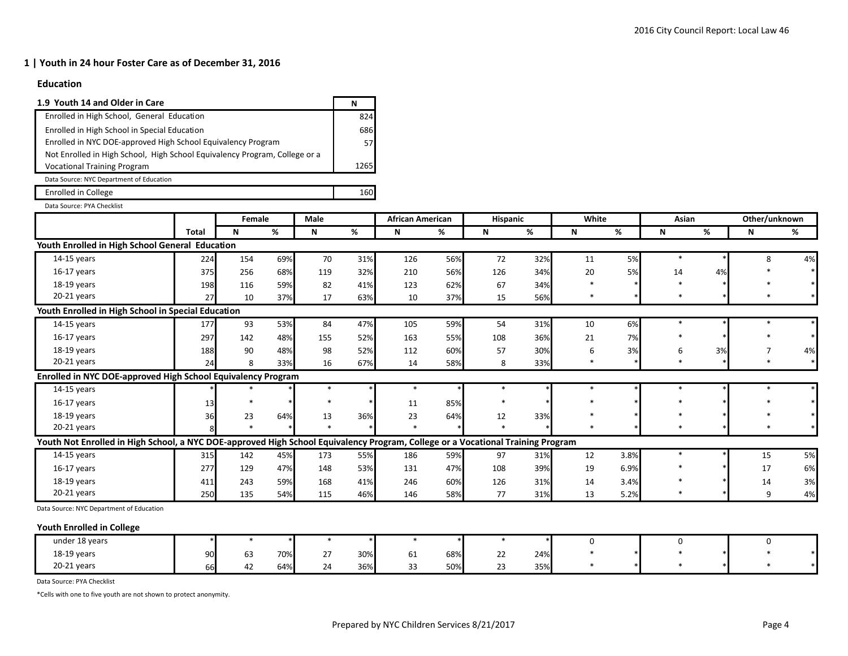### **Education**

| 1.9 Youth 14 and Older in Care                                             | N    |
|----------------------------------------------------------------------------|------|
| Enrolled in High School, General Education                                 | 824  |
| Enrolled in High School in Special Education                               | 686  |
| Enrolled in NYC DOE-approved High School Equivalency Program               | 57   |
| Not Enrolled in High School, High School Equivalency Program, College or a |      |
| <b>Vocational Training Program</b>                                         | 1265 |
| Data Source: NYC Department of Education                                   |      |
| Enrolled in College                                                        |      |

Data Source: PYA Checklist Enrolled in College

|                                                                                                                                 |              | Female |     | Male   |     | <b>African American</b> |     | Hispanic |     | White |      | Asian  |    | Other/unknown |        |
|---------------------------------------------------------------------------------------------------------------------------------|--------------|--------|-----|--------|-----|-------------------------|-----|----------|-----|-------|------|--------|----|---------------|--------|
|                                                                                                                                 | <b>Total</b> | N      | %   | N      | %   | N                       | %   | N        | %   | N     | %    | N      | %  | N             | %      |
| Youth Enrolled in High School General Education                                                                                 |              |        |     |        |     |                         |     |          |     |       |      |        |    |               |        |
| $14-15$ years                                                                                                                   | 224          | 154    | 69% | 70     | 31% | 126                     | 56% | 72       | 32% | 11    | 5%   | $\ast$ |    | 8             | 4%     |
| 16-17 years                                                                                                                     | 375          | 256    | 68% | 119    | 32% | 210                     | 56% | 126      | 34% | 20    | 5%   | 14     | 4% |               | $\ast$ |
| 18-19 years                                                                                                                     | 198          | 116    | 59% | 82     | 41% | 123                     | 62% | 67       | 34% |       |      |        |    |               |        |
| $20-21$ years                                                                                                                   | 27           | 10     | 37% | 17     | 63% | 10                      | 37% | 15       | 56% |       |      |        |    |               |        |
| Youth Enrolled in High School in Special Education                                                                              |              |        |     |        |     |                         |     |          |     |       |      |        |    |               |        |
| $14-15$ years                                                                                                                   | 177          | 93     | 53% | 84     | 47% | 105                     | 59% | 54       | 31% | 10    | 6%   |        |    |               |        |
| $16-17$ years                                                                                                                   | 297          | 142    | 48% | 155    | 52% | 163                     | 55% | 108      | 36% | 21    | 7%   |        |    |               |        |
| 18-19 years                                                                                                                     | 188          | 90     | 48% | 98     | 52% | 112                     | 60% | 57       | 30% | 6     | 3%   | 6      | 3% |               | 4%     |
| 20-21 years                                                                                                                     | 24           | 8      | 33% | 16     | 67% | 14                      | 58% | 8        | 33% |       |      |        |    |               | $\ast$ |
| Enrolled in NYC DOE-approved High School Equivalency Program                                                                    |              |        |     |        |     |                         |     |          |     |       |      |        |    |               |        |
| $14-15$ years                                                                                                                   |              |        |     | $\ast$ |     | $\ast$                  |     |          |     |       |      |        |    |               |        |
| $16-17$ years                                                                                                                   | 13           |        |     |        |     | 11                      | 85% |          |     |       |      |        |    |               |        |
| 18-19 years                                                                                                                     | 36           | 23     | 64% | 13     | 36% | 23                      | 64% | 12       | 33% |       |      |        |    |               |        |
| $20-21$ years                                                                                                                   |              | $\ast$ |     | $\ast$ |     | $\ast$                  |     | $\ast$   |     |       |      | $\ast$ |    |               |        |
| Youth Not Enrolled in High School, a NYC DOE-approved High School Equivalency Program, College or a Vocational Training Program |              |        |     |        |     |                         |     |          |     |       |      |        |    |               |        |
| 14-15 years                                                                                                                     | 315          | 142    | 45% | 173    | 55% | 186                     | 59% | 97       | 31% | 12    | 3.8% | $\ast$ |    | 15            | 5%     |
| $16-17$ years                                                                                                                   | 277          | 129    | 47% | 148    | 53% | 131                     | 47% | 108      | 39% | 19    | 6.9% |        |    | 17            | 6%     |
| 18-19 years                                                                                                                     | 411          | 243    | 59% | 168    | 41% | 246                     | 60% | 126      | 31% | 14    | 3.4% |        |    | 14            | 3%     |
| $20-21$ years                                                                                                                   | 250          | 135    | 54% | 115    | 46% | 146                     | 58% | 77       | 31% | 13    | 5.2% |        |    | 9             | 4%     |
| Data Source: NYC Department of Education                                                                                        |              |        |     |        |     |                         |     |          |     |       |      |        |    |               |        |
| <b>Youth Enrolled in College</b>                                                                                                |              |        |     |        |     |                         |     |          |     |       |      |        |    |               |        |

| under 18 years |    |                |     |                      |     |             |     |              |     |  |  |  |
|----------------|----|----------------|-----|----------------------|-----|-------------|-----|--------------|-----|--|--|--|
| 18-19 years    | 90 | $\sim$<br>63   | 70% | $\sim$ $\rightarrow$ | 30% | - -<br>0T   | 68% | $\sim$<br>44 | 24% |  |  |  |
| 20-21 years    | 66 | $\sim$<br>44 Z | 64% | $\sim$<br>4          | 36% | $\sim$<br>ັ | 50% | $\sim$<br>23 | 35% |  |  |  |

Data Source: PYA Checklist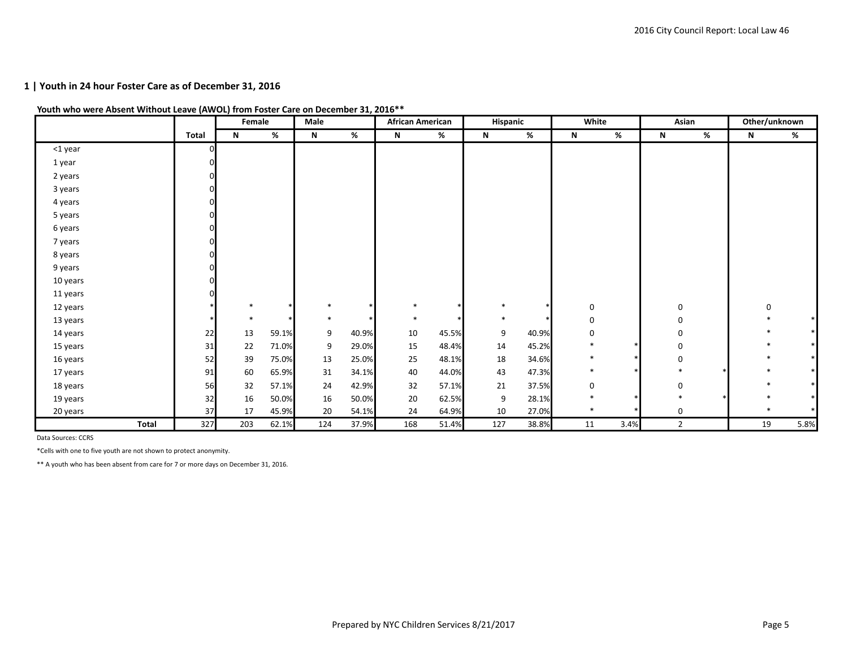|          |       |       | Female |       | Male |       | <b>African American</b> |       | Hispanic         |       | White  |      | Asian          |   | Other/unknown |      |
|----------|-------|-------|--------|-------|------|-------|-------------------------|-------|------------------|-------|--------|------|----------------|---|---------------|------|
|          |       | Total | N      | %     | N    | %     | N                       | %     | N                | %     | N      | %    | $\mathsf{N}$   | % | N             | %    |
| <1 year  |       | 0     |        |       |      |       |                         |       |                  |       |        |      |                |   |               |      |
| 1 year   |       | 0     |        |       |      |       |                         |       |                  |       |        |      |                |   |               |      |
| 2 years  |       |       |        |       |      |       |                         |       |                  |       |        |      |                |   |               |      |
| 3 years  |       |       |        |       |      |       |                         |       |                  |       |        |      |                |   |               |      |
| 4 years  |       |       |        |       |      |       |                         |       |                  |       |        |      |                |   |               |      |
| 5 years  |       |       |        |       |      |       |                         |       |                  |       |        |      |                |   |               |      |
| 6 years  |       |       |        |       |      |       |                         |       |                  |       |        |      |                |   |               |      |
| 7 years  |       |       |        |       |      |       |                         |       |                  |       |        |      |                |   |               |      |
| 8 years  |       |       |        |       |      |       |                         |       |                  |       |        |      |                |   |               |      |
| 9 years  |       |       |        |       |      |       |                         |       |                  |       |        |      |                |   |               |      |
| 10 years |       |       |        |       |      |       |                         |       |                  |       |        |      |                |   |               |      |
| 11 years |       |       |        |       |      |       |                         |       |                  |       |        |      |                |   |               |      |
| 12 years |       |       | $\ast$ |       |      |       |                         |       | $\ast$           |       | 0      |      | $\mathbf 0$    |   | 0             |      |
| 13 years |       |       | $\ast$ |       |      |       | $\ast$                  |       | $\ast$           |       | 0      |      | 0              |   |               |      |
| 14 years |       | 22    | 13     | 59.1% | 9    | 40.9% | 10                      | 45.5% | $\boldsymbol{9}$ | 40.9% | 0      |      | 0              |   |               |      |
| 15 years |       | 31    | 22     | 71.0% | 9    | 29.0% | 15                      | 48.4% | 14               | 45.2% |        |      | 0              |   |               |      |
| 16 years |       | 52    | 39     | 75.0% | 13   | 25.0% | 25                      | 48.1% | 18               | 34.6% | $\ast$ |      | 0              |   |               |      |
| 17 years |       | 91    | 60     | 65.9% | 31   | 34.1% | 40                      | 44.0% | 43               | 47.3% | $\ast$ |      |                |   |               |      |
| 18 years |       | 56    | 32     | 57.1% | 24   | 42.9% | 32                      | 57.1% | $21\,$           | 37.5% | 0      |      | $\mathbf 0$    |   |               |      |
| 19 years |       | 32    | 16     | 50.0% | 16   | 50.0% | 20                      | 62.5% | 9                | 28.1% |        |      |                |   |               |      |
| 20 years |       | 37    | 17     | 45.9% | 20   | 54.1% | 24                      | 64.9% | 10               | 27.0% | $\ast$ |      | 0              |   |               |      |
|          | Total | 327   | 203    | 62.1% | 124  | 37.9% | 168                     | 51.4% | 127              | 38.8% | 11     | 3.4% | $\overline{2}$ |   | 19            | 5.8% |

### **Youth who were Absent Without Leave (AWOL) from Foster Care on December 31, 2016\*\***

Data Sources: CCRS

\*Cells with one to five youth are not shown to protect anonymity.

\*\* A youth who has been absent from care for 7 or more days on December 31, 2016.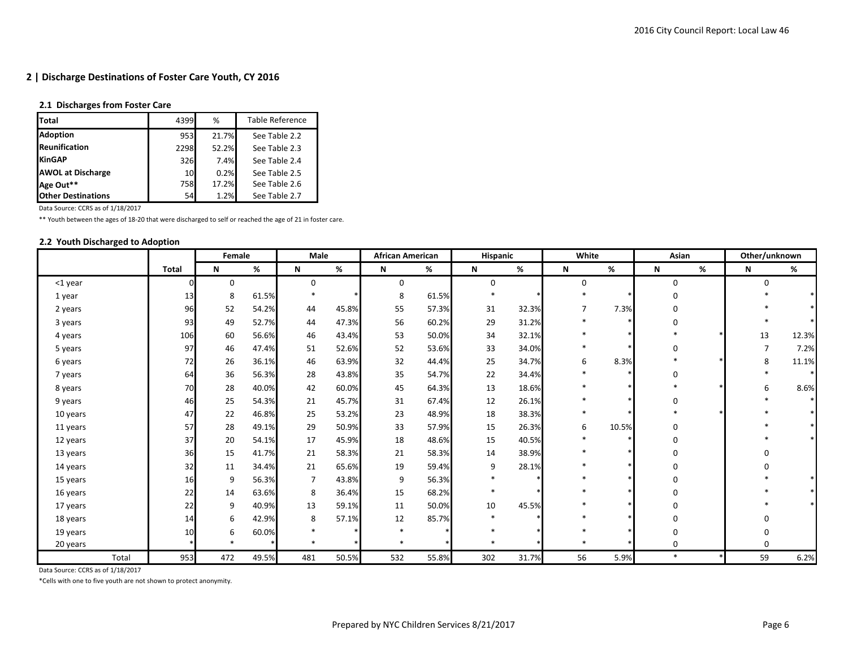### **2.1 Discharges from Foster Care**

| <b>Total</b>              | 4399 | %     | <b>Table Reference</b> |
|---------------------------|------|-------|------------------------|
| <b>Adoption</b>           | 953  | 21.7% | See Table 2.2          |
| Reunification             | 2298 | 52.2% | See Table 2.3          |
| <b>KinGAP</b>             | 326  | 7.4%  | See Table 2.4          |
| <b>AWOL at Discharge</b>  | 10   | 0.2%  | See Table 2.5          |
| Age Out**                 | 758  | 17.2% | See Table 2.6          |
| <b>Other Destinations</b> | 54   | 1.2%  | See Table 2.7          |

Data Source: CCRS as of 1/18/2017

\*\* Youth between the ages of 18-20 that were discharged to self or reached the age of 21 in foster care.

### **2.2 Youth Discharged to Adoption**

|          |              | Female      |       | Male        |       | African American |       | Hispanic    |       | White        |       | Asian    |   | Other/unknown |       |
|----------|--------------|-------------|-------|-------------|-------|------------------|-------|-------------|-------|--------------|-------|----------|---|---------------|-------|
|          | <b>Total</b> | N           | %     | N           | %     | N                | %     | N           | %     | N            | %     | N        | % | N             | %     |
| <1 year  | $\Omega$     | $\mathbf 0$ |       | $\mathbf 0$ |       | $\mathbf{0}$     |       | $\mathbf 0$ |       | $\mathbf{0}$ |       | 0        |   | 0             |       |
| 1 year   | 13           | 8           | 61.5% |             |       | 8                | 61.5% |             |       |              |       | $\Omega$ |   |               |       |
| 2 years  | 96           | 52          | 54.2% | 44          | 45.8% | 55               | 57.3% | 31          | 32.3% | 7            | 7.3%  | $\Omega$ |   |               |       |
| 3 years  | 93           | 49          | 52.7% | 44          | 47.3% | 56               | 60.2% | 29          | 31.2% |              |       | $\Omega$ |   |               |       |
| 4 years  | 106          | 60          | 56.6% | 46          | 43.4% | 53               | 50.0% | 34          | 32.1% |              |       |          |   | 13            | 12.3% |
| 5 years  | 97           | 46          | 47.4% | 51          | 52.6% | 52               | 53.6% | 33          | 34.0% |              |       | $\Omega$ |   |               | 7.2%  |
| 6 years  | 72           | 26          | 36.1% | 46          | 63.9% | 32               | 44.4% | 25          | 34.7% | 6            | 8.3%  |          |   | 8             | 11.1% |
| 7 years  | 64           | 36          | 56.3% | 28          | 43.8% | 35               | 54.7% | 22          | 34.4% |              |       | $\Omega$ |   |               |       |
| 8 years  | 70           | 28          | 40.0% | 42          | 60.0% | 45               | 64.3% | 13          | 18.6% |              |       |          |   | 6             | 8.6%  |
| 9 years  | 46           | 25          | 54.3% | 21          | 45.7% | 31               | 67.4% | 12          | 26.1% |              |       | $\Omega$ |   |               |       |
| 10 years | 47           | 22          | 46.8% | 25          | 53.2% | 23               | 48.9% | 18          | 38.3% |              |       |          |   |               |       |
| 11 years | 57           | 28          | 49.1% | 29          | 50.9% | 33               | 57.9% | 15          | 26.3% | 6            | 10.5% | $\Omega$ |   |               |       |
| 12 years | 37           | 20          | 54.1% | 17          | 45.9% | 18               | 48.6% | 15          | 40.5% |              |       | $\Omega$ |   |               |       |
| 13 years | 36           | 15          | 41.7% | 21          | 58.3% | 21               | 58.3% | 14          | 38.9% |              |       | $\Omega$ |   |               |       |
| 14 years | 32           | 11          | 34.4% | 21          | 65.6% | 19               | 59.4% | 9           | 28.1% |              |       | $\Omega$ |   |               |       |
| 15 years | 16           | 9           | 56.3% | 7           | 43.8% | 9                | 56.3% |             |       |              |       | $\Omega$ |   |               |       |
| 16 years | 22           | 14          | 63.6% | 8           | 36.4% | 15               | 68.2% |             |       |              |       | $\Omega$ |   |               |       |
| 17 years | 22           | 9           | 40.9% | 13          | 59.1% | 11               | 50.0% | 10          | 45.5% |              |       |          |   |               |       |
| 18 years | 14           | 6           | 42.9% | 8           | 57.1% | 12               | 85.7% |             |       |              |       |          |   |               |       |
| 19 years | 10           | 6           | 60.0% |             |       |                  |       |             |       |              |       |          |   |               |       |
| 20 years |              | $\ast$      |       |             |       |                  |       |             |       |              |       | $\Omega$ |   |               |       |
| Total    | 953          | 472         | 49.5% | 481         | 50.5% | 532              | 55.8% | 302         | 31.7% | 56           | 5.9%  | $\ast$   |   | 59            | 6.2%  |

Data Source: CCRS as of 1/18/2017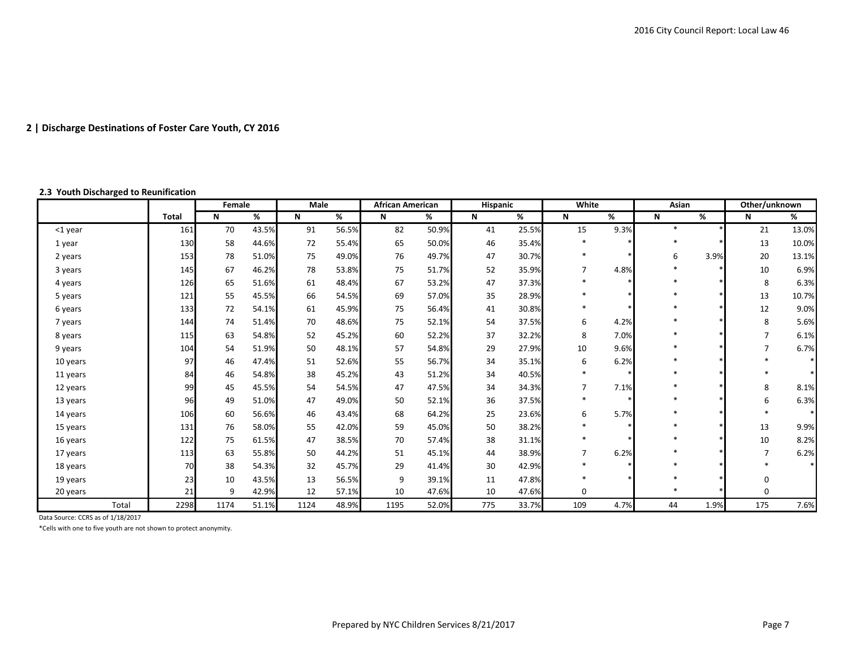## **2.3 Youth Discharged to Reunification**

|          |              | Female |       | Male |       | <b>African American</b> |       | Hispanic |       | White          |      | Asian  |      | Other/unknown |       |
|----------|--------------|--------|-------|------|-------|-------------------------|-------|----------|-------|----------------|------|--------|------|---------------|-------|
|          | <b>Total</b> | N      | %     | N    | %     | N                       | %     | N        | %     | N              | %    | N      | %    | N             | %     |
| <1 year  | 161          | 70     | 43.5% | 91   | 56.5% | 82                      | 50.9% | 41       | 25.5% | 15             | 9.3% | $\ast$ |      | 21            | 13.0% |
| 1 year   | 130          | 58     | 44.6% | 72   | 55.4% | 65                      | 50.0% | 46       | 35.4% |                |      | $\ast$ |      | 13            | 10.0% |
| 2 years  | 153          | 78     | 51.0% | 75   | 49.0% | 76                      | 49.7% | 47       | 30.7% |                |      | 6      | 3.9% | 20            | 13.1% |
| 3 years  | 145          | 67     | 46.2% | 78   | 53.8% | 75                      | 51.7% | 52       | 35.9% | $\overline{ }$ | 4.8% |        |      | 10            | 6.9%  |
| 4 years  | 126          | 65     | 51.6% | 61   | 48.4% | 67                      | 53.2% | 47       | 37.3% |                |      |        |      | 8             | 6.3%  |
| 5 years  | 121          | 55     | 45.5% | 66   | 54.5% | 69                      | 57.0% | 35       | 28.9% |                |      |        |      | 13            | 10.7% |
| 6 years  | 133          | 72     | 54.1% | 61   | 45.9% | 75                      | 56.4% | 41       | 30.8% |                |      |        |      | 12            | 9.0%  |
| 7 years  | 144          | 74     | 51.4% | 70   | 48.6% | 75                      | 52.1% | 54       | 37.5% | 6              | 4.2% |        |      | 8             | 5.6%  |
| 8 years  | 115          | 63     | 54.8% | 52   | 45.2% | 60                      | 52.2% | 37       | 32.2% | 8              | 7.0% |        |      | 7             | 6.1%  |
| 9 years  | 104          | 54     | 51.9% | 50   | 48.1% | 57                      | 54.8% | 29       | 27.9% | 10             | 9.6% |        |      |               | 6.7%  |
| 10 years | 97           | 46     | 47.4% | 51   | 52.6% | 55                      | 56.7% | 34       | 35.1% | 6              | 6.2% |        |      |               |       |
| 11 years | 84           | 46     | 54.8% | 38   | 45.2% | 43                      | 51.2% | 34       | 40.5% |                |      |        |      |               |       |
| 12 years | 99           | 45     | 45.5% | 54   | 54.5% | 47                      | 47.5% | 34       | 34.3% | 7              | 7.1% |        |      | 8             | 8.1%  |
| 13 years | 96           | 49     | 51.0% | 47   | 49.0% | 50                      | 52.1% | 36       | 37.5% |                |      |        |      | 6             | 6.3%  |
| 14 years | 106          | 60     | 56.6% | 46   | 43.4% | 68                      | 64.2% | 25       | 23.6% | 6              | 5.7% |        |      |               |       |
| 15 years | 131          | 76     | 58.0% | 55   | 42.0% | 59                      | 45.0% | 50       | 38.2% |                |      |        |      | 13            | 9.9%  |
| 16 years | 122          | 75     | 61.5% | 47   | 38.5% | 70                      | 57.4% | 38       | 31.1% |                |      |        |      | 10            | 8.2%  |
| 17 years | 113          | 63     | 55.8% | 50   | 44.2% | 51                      | 45.1% | 44       | 38.9% | $\overline{7}$ | 6.2% |        |      |               | 6.2%  |
| 18 years | 70           | 38     | 54.3% | 32   | 45.7% | 29                      | 41.4% | 30       | 42.9% |                |      |        |      |               |       |
| 19 years | 23           | 10     | 43.5% | 13   | 56.5% | 9                       | 39.1% | 11       | 47.8% |                |      |        |      | 0             |       |
| 20 years | 21           | 9      | 42.9% | 12   | 57.1% | 10                      | 47.6% | 10       | 47.6% | $\mathbf{0}$   |      |        |      | $\mathbf 0$   |       |
| Total    | 2298         | 1174   | 51.1% | 1124 | 48.9% | 1195                    | 52.0% | 775      | 33.7% | 109            | 4.7% | 44     | 1.9% | 175           | 7.6%  |

Data Source: CCRS as of 1/18/2017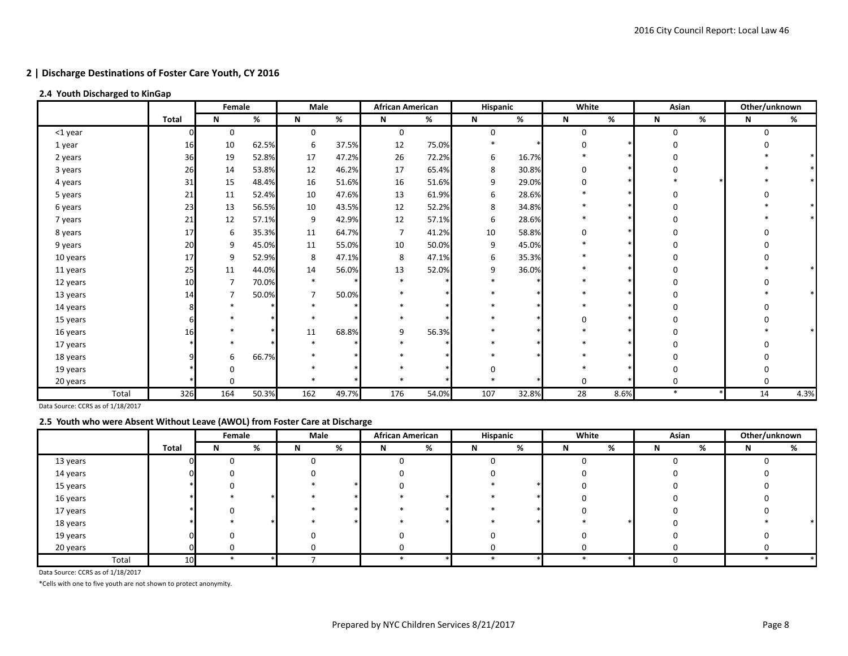### **2.4 Youth Discharged to KinGap**

|          |       | Female      |       | Male   |       | <b>African American</b> |       | Hispanic    |       | White        |      | Asian  | Other/unknown |      |
|----------|-------|-------------|-------|--------|-------|-------------------------|-------|-------------|-------|--------------|------|--------|---------------|------|
|          | Total | N           | %     | N      | %     | N                       | %     | N           | %     | N            | %    | %<br>N | N             | %    |
| <1 year  |       | $\mathbf 0$ |       | 0      |       | $\mathbf 0$             |       | $\mathbf 0$ |       | 0            |      | 0      | 0             |      |
| 1 year   | 16    | 10          | 62.5% | 6      | 37.5% | 12                      | 75.0% |             |       | $\Omega$     |      |        |               |      |
| 2 years  | 36    | 19          | 52.8% | 17     | 47.2% | 26                      | 72.2% | 6           | 16.7% |              |      |        |               |      |
| 3 years  | 26    | 14          | 53.8% | 12     | 46.2% | 17                      | 65.4% | 8           | 30.8% | 0            |      |        |               |      |
| 4 years  | 31    | 15          | 48.4% | 16     | 51.6% | 16                      | 51.6% | 9           | 29.0% | $\mathbf{0}$ |      |        |               |      |
| 5 years  | 21    | 11          | 52.4% | 10     | 47.6% | 13                      | 61.9% | 6           | 28.6% |              |      |        |               |      |
| 6 years  | 23    | 13          | 56.5% | 10     | 43.5% | 12                      | 52.2% | 8           | 34.8% |              |      |        |               |      |
| 7 years  | 21    | 12          | 57.1% | 9      | 42.9% | 12                      | 57.1% | 6           | 28.6% |              |      |        |               |      |
| 8 years  | 17    | 6           | 35.3% | 11     | 64.7% | 7                       | 41.2% | 10          | 58.8% | $\Omega$     |      |        |               |      |
| 9 years  | 20    | 9           | 45.0% | 11     | 55.0% | 10                      | 50.0% | 9           | 45.0% |              |      |        |               |      |
| 10 years | 17    | 9           | 52.9% | 8      | 47.1% | 8                       | 47.1% | 6           | 35.3% |              |      |        |               |      |
| 11 years | 25    | 11          | 44.0% | 14     | 56.0% | 13                      | 52.0% | 9           | 36.0% |              |      |        |               |      |
| 12 years | 10    | 7           | 70.0% | $\ast$ |       |                         |       |             |       |              |      |        |               |      |
| 13 years | 14    |             | 50.0% | 7      | 50.0% |                         |       |             |       |              |      |        |               |      |
| 14 years |       |             |       |        |       |                         |       |             |       |              |      |        |               |      |
| 15 years |       |             |       |        |       |                         |       |             |       | $\Omega$     |      |        |               |      |
| 16 years | 16    |             |       | 11     | 68.8% | 9                       | 56.3% |             |       |              |      |        |               |      |
| 17 years |       |             |       |        |       |                         |       |             |       |              |      |        |               |      |
| 18 years |       | 6           | 66.7% |        |       |                         |       |             |       |              |      |        |               |      |
| 19 years |       | 0           |       |        |       |                         |       | $\Omega$    |       |              |      |        |               |      |
| 20 years |       | $\mathbf 0$ |       |        |       |                         |       |             |       | 0            |      |        | 0             |      |
| Total    | 326   | 164         | 50.3% | 162    | 49.7% | 176                     | 54.0% | 107         | 32.8% | 28           | 8.6% | $\ast$ | 14            | 4.3% |

Data Source: CCRS as of 1/18/2017

#### **2.5 Youth who were Absent Without Leave (AWOL) from Foster Care at Discharge**

|          |       | Female |   | Male |   | <b>African American</b> |   | <b>Hispanic</b> |   | White |   | Asian |   | Other/unknown |   |
|----------|-------|--------|---|------|---|-------------------------|---|-----------------|---|-------|---|-------|---|---------------|---|
|          | Total |        | % | N    | % | N                       | % | N               | % |       | % |       | % | N             | % |
| 13 years | n     |        |   |      |   |                         |   |                 |   |       |   |       |   | 0             |   |
| 14 years |       |        |   |      |   |                         |   |                 |   |       |   |       |   |               |   |
| 15 years |       |        |   |      |   |                         |   |                 |   |       |   |       |   |               |   |
| 16 years |       |        |   |      |   |                         |   |                 |   |       |   |       |   | 0             |   |
| 17 years |       |        |   |      |   |                         |   |                 |   |       |   |       |   |               |   |
| 18 years |       |        |   |      |   |                         |   |                 |   |       |   |       |   |               |   |
| 19 years |       |        |   |      |   |                         |   |                 |   |       |   |       |   |               |   |
| 20 years |       |        |   |      |   |                         |   |                 |   |       |   |       |   | 0             |   |
| Total    | 10    |        |   |      |   |                         |   |                 |   |       |   |       |   |               |   |

Data Source: CCRS as of 1/18/2017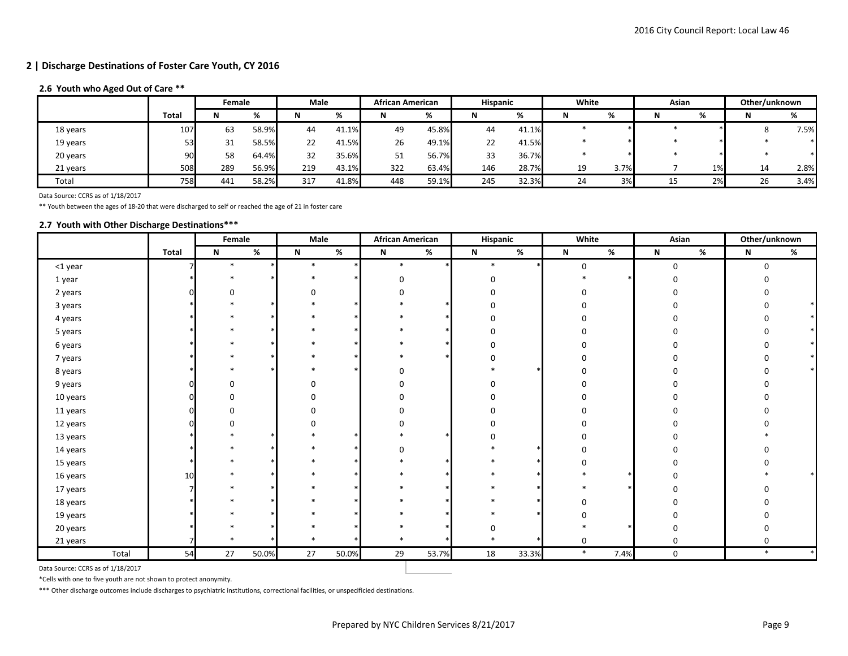## **2.6 Youth who Aged Out of Care \*\***

|          |              | Female |       | Male |       | <b>African American</b> |       | <b>Hispanic</b> |       | White |      | Asian |    | Other/unknown |      |
|----------|--------------|--------|-------|------|-------|-------------------------|-------|-----------------|-------|-------|------|-------|----|---------------|------|
|          | <b>Total</b> |        |       |      | %     |                         | %     |                 | %     |       |      |       | %  |               | %    |
| 18 years | 107          | 63     | 58.9% | 44   | 41.1% | 49                      | 45.8% | 44              | 41.1% |       |      |       |    |               | 7.5% |
| 19 years | 53           | 31     | 58.5% | 22   | 41.5% | 26                      | 49.1% | 22              | 41.5% |       |      |       |    |               |      |
| 20 years | 90           | 58     | 64.4% | 32   | 35.6% | 51                      | 56.7% | 33              | 36.7% |       |      |       |    |               |      |
| 21 years | 508          | 289    | 56.9% | 219  | 43.1% | 322                     | 63.4% | 146             | 28.7% | 19    | 3.7% |       | 1% | 14            | 2.8% |
| Total    | 758          | 441    | 58.2% | 317  | 41.8% | 448                     | 59.1% | 245             | 32.3% | 24    | 3%   |       | 2% | 26            | 3.4% |

Data Source: CCRS as of 1/18/2017

\*\* Youth between the ages of 18-20 that were discharged to self or reached the age of 21 in foster care

### **2.7 Youth with Other Discharge Destinations\*\*\***

|          |       | Female       |       | Male        |       | <b>African American</b> |       | Hispanic     |       | White                     |      | Asian |   | Other/unknown |      |
|----------|-------|--------------|-------|-------------|-------|-------------------------|-------|--------------|-------|---------------------------|------|-------|---|---------------|------|
|          | Total | N            | $\%$  | $\mathsf N$ | $\%$  | $\mathbf N$             | %     | $\mathsf N$  | %     | $\boldsymbol{\mathsf{N}}$ | $\%$ | N     | % | $\mathsf N$   | $\%$ |
| <1 year  |       | $\ast$       |       | $\ast$      |       | $\ast$                  |       | $\ast$       |       | 0                         |      | 0     |   | $\mathbf 0$   |      |
| 1 year   |       |              |       |             |       | $\mathbf 0$             |       | 0            |       |                           |      | 0     |   |               |      |
| 2 years  |       | 0            |       |             |       |                         |       | $\Omega$     |       |                           |      |       |   |               |      |
| 3 years  |       |              |       |             |       |                         |       | 0            |       |                           |      |       |   |               |      |
| 4 years  |       |              |       |             |       |                         |       | O            |       |                           |      |       |   |               |      |
| 5 years  |       |              |       |             |       |                         |       | <sup>0</sup> |       |                           |      |       |   | ŋ             |      |
| 6 years  |       |              |       |             |       |                         |       |              |       |                           |      |       |   |               |      |
| 7 years  |       |              |       |             |       |                         |       |              |       |                           |      |       |   |               |      |
| 8 years  |       |              |       |             |       | $\Omega$                |       |              |       |                           |      |       |   |               |      |
| 9 years  |       | $\mathbf{0}$ |       | ŋ           |       |                         |       | ŋ            |       |                           |      |       |   |               |      |
| 10 years |       | 0            |       |             |       |                         |       |              |       |                           |      |       |   |               |      |
| 11 years |       | $\Omega$     |       |             |       |                         |       |              |       |                           |      |       |   |               |      |
| 12 years |       | O            |       |             |       |                         |       |              |       |                           |      |       |   |               |      |
| 13 years |       |              |       |             |       |                         |       | ŋ            |       |                           |      |       |   |               |      |
| 14 years |       |              |       |             |       | U                       |       |              |       |                           |      |       |   |               |      |
| 15 years |       |              |       |             |       |                         |       |              |       |                           |      |       |   |               |      |
| 16 years | 10    |              |       |             |       |                         |       |              |       |                           |      |       |   |               |      |
| 17 years |       |              |       |             |       |                         |       |              |       |                           |      |       |   |               |      |
| 18 years |       |              |       |             |       |                         |       |              |       |                           |      |       |   |               |      |
| 19 years |       |              |       |             |       |                         |       |              |       |                           |      |       |   |               |      |
| 20 years |       |              |       |             |       |                         |       |              |       |                           |      |       |   |               |      |
| 21 years |       |              |       |             |       |                         |       |              |       | 0                         |      | 0     |   | $\mathbf 0$   |      |
| Total    | 54    | 27           | 50.0% | 27          | 50.0% | 29                      | 53.7% | 18           | 33.3% | $\ast$                    | 7.4% | 0     |   | $\ast$        |      |

Data Source: CCRS as of 1/18/2017

\*Cells with one to five youth are not shown to protect anonymity.

\*\*\* Other discharge outcomes include discharges to psychiatric institutions, correctional facilities, or unspecificied destinations.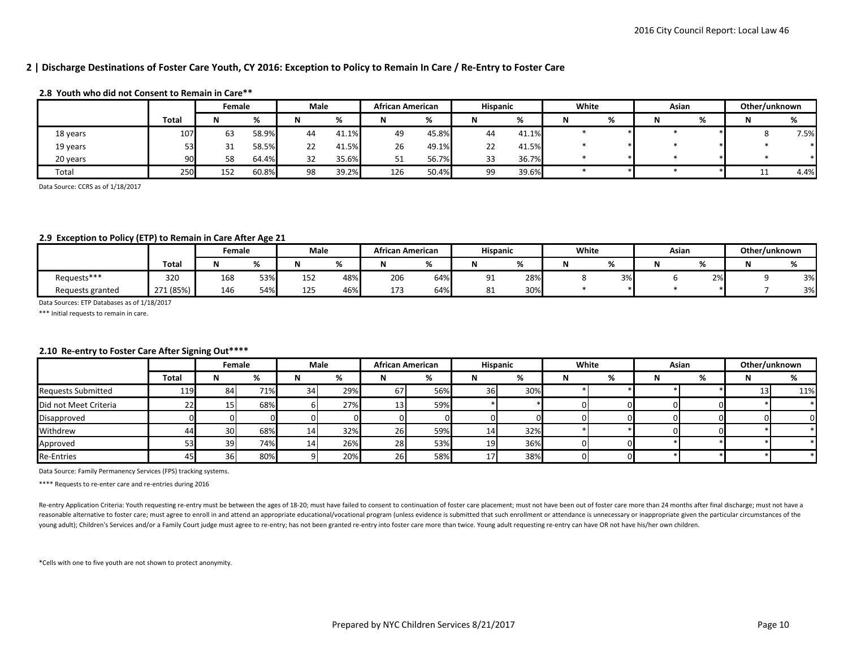### **2 | Discharge Destinations of Foster Care Youth, CY 2016: Exception to Policy to Remain In Care / Re-Entry to Foster Care**

### **2.8 Youth who did not Consent to Remain in Care\*\***

|          |       | Female |                | Male |       | African American |              | <b>Hispanic</b> |       | White          | Asian |          | Other/unknown |      |
|----------|-------|--------|----------------|------|-------|------------------|--------------|-----------------|-------|----------------|-------|----------|---------------|------|
|          | Total |        | $\overline{a}$ |      |       |                  | $\mathbf{a}$ |                 | %     | $\overline{a}$ |       | $\alpha$ |               |      |
| 18 years | 107   | 63     | 58.9%          | 44   | 41.1% | 49               | 45.8%        | 44              | 41.1% |                |       |          |               | 7.5% |
| 19 years | 53    | 31     | 58.5%          | 22   | 41.5% | 26               | 49.1%        | ∠∠              | 41.5% |                |       |          |               |      |
| 20 years | 90    | 58     | 64.4%          | 32   | 35.6% | 51               | 56.7%        |                 | 36.7% |                |       |          |               |      |
| Total    | 250   | 152    | 60.8%          | 98   | 39.2% | 126              | 50.4%        | 99              | 39.6% |                |       |          | <b>. .</b>    | 4.4% |

Data Source: CCRS as of 1/18/2017

#### **2.9 Exception to Policy (ETP) to Remain in Care After Age 21**

|                  |                     | Female |     | Male        |                | African American |     | <b>Hispanic</b>  |     | White |    | Asian | Other/unknown |    |
|------------------|---------------------|--------|-----|-------------|----------------|------------------|-----|------------------|-----|-------|----|-------|---------------|----|
|                  | Total               |        |     |             | $\overline{ }$ |                  |     | <b>A1</b>        | 70  |       |    |       |               | 70 |
| Requests***      | 320                 | 168    | 53% | $- -$<br>ᅩJ | 48%            | 206<br>$\sim$    | 64% | $^{\circ}$<br>ᇰᆂ | 28% |       | 3% |       |               | 3% |
| Requests granted | (85%)<br><b>271</b> | 146    | 51% | 175<br>ᅭᄼ   | 46%            | 173              | 64% | $\Omega$<br>ᅆ    | 30% |       |    |       |               | 3% |

Data Sources: ETP Databases as of 1/18/2017

\*\*\* Initial requests to remain in care.

#### **2.10 Re-entry to Foster Care After Signing Out\*\*\*\***

|                           |       |                 | Female       |                 | Male |               | African American |     | <b>Hispanic</b> | White |              | Asian |      | Other/unknown |
|---------------------------|-------|-----------------|--------------|-----------------|------|---------------|------------------|-----|-----------------|-------|--------------|-------|------|---------------|
|                           | Total |                 | $\mathbf{a}$ |                 | %    |               | $\alpha$         |     | %               |       | $\mathbf{a}$ | %     | IV   | $\sigma$      |
| <b>Requests Submitted</b> | 119   | 84              | 71%          | 34              | 29%  | 67            | 56%              | 36  | 30%             |       |              |       | الله | 11%           |
| Did not Meet Criteria     | 221   | 15              | 68%          |                 | 27%  | 13            | 59%              |     |                 |       |              |       |      |               |
| Disapproved               |       |                 |              |                 |      |               |                  |     |                 |       |              |       |      |               |
| Withdrew                  | 44    | 30 <sup>l</sup> | 68%          | 14 <sup>1</sup> | 32%  | $\sim$<br>2bl | 59%              | 14  | 32%             |       |              |       |      |               |
| Approved                  |       | 39              | 74%          | 14              | 26%  | 28            | 53%              | 19  | 36%             |       |              |       |      |               |
| <b>Re-Entries</b>         | 45    | 36              | 80%          |                 | 20%  | $\sim$<br>26. | 58%              | 171 | 38%             |       |              |       |      |               |

Data Source: Family Permanency Services (FPS) tracking systems.

\*\*\*\* Requests to re-enter care and re-entries during 2016

Re-entry Application Criteria: Youth requesting re-entry must be between the ages of 18-20; must have failed to consent to continuation of foster care placement; must not have been out of foster care more than 24 months af reasonable alternative to foster care; must agree to enroll in and attend an appropriate educational/vocational program (unless evidence is submitted that such enrollment or attendance is unnecessary or inappropriate given young adult); Children's Services and/or a Family Court judge must agree to re-entry; has not been granted re-entry into foster care more than twice. Young adult requesting re-entry can have OR not have his/her own childre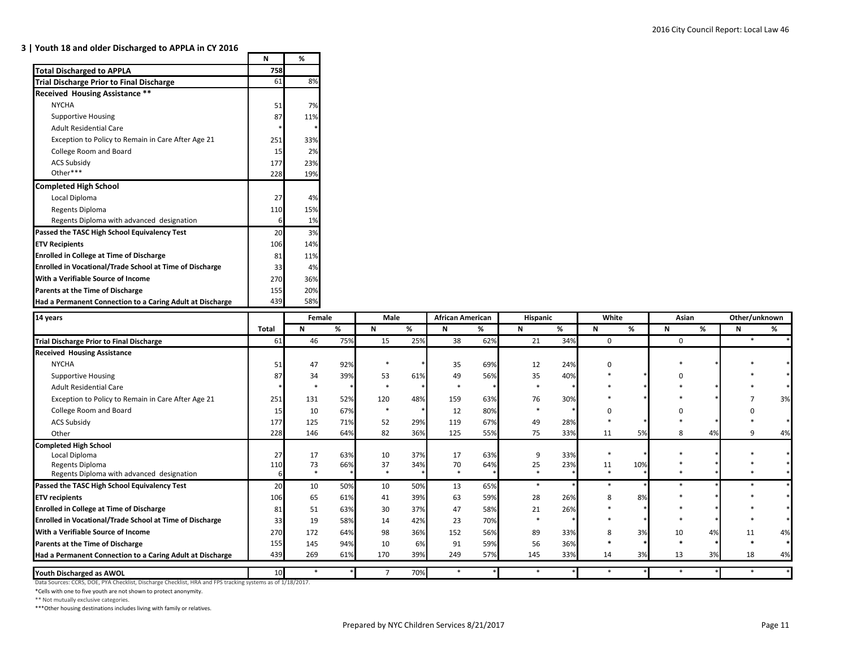### **3 | Youth 18 and older Discharged to APPLA in CY 2016**

|                                                           | N   | %   |
|-----------------------------------------------------------|-----|-----|
| <b>Total Discharged to APPLA</b>                          | 758 |     |
| <b>Trial Discharge Prior to Final Discharge</b>           | 61  | 8%  |
| Received Housing Assistance **                            |     |     |
| <b>NYCHA</b>                                              | 51  | 7%  |
| <b>Supportive Housing</b>                                 | 87  | 11% |
| <b>Adult Residential Care</b>                             | *   | ×.  |
| Exception to Policy to Remain in Care After Age 21        | 251 | 33% |
| College Room and Board                                    | 15  | 2%  |
| <b>ACS Subsidy</b>                                        | 177 | 23% |
| Other***                                                  | 228 | 19% |
| <b>Completed High School</b>                              |     |     |
| Local Diploma                                             | 27  | 4%  |
| Regents Diploma                                           | 110 | 15% |
| Regents Diploma with advanced designation                 | 6   | 1%  |
| Passed the TASC High School Equivalency Test              | 20  | 3%  |
| <b>ETV Recipients</b>                                     | 106 | 14% |
| <b>Enrolled in College at Time of Discharge</b>           | 81  | 11% |
| Enrolled in Vocational/Trade School at Time of Discharge  | 33  | 4%  |
| With a Verifiable Source of Income                        | 270 | 36% |
| Parents at the Time of Discharge                          | 155 | 20% |
| Had a Permanent Connection to a Caring Adult at Discharge | 439 | 58% |

| 14 years                                                  |              | Female |     | Male |     | <b>African American</b> |     | Hispanic |     | White       |     | Asian       |    | Other/unknown |    |
|-----------------------------------------------------------|--------------|--------|-----|------|-----|-------------------------|-----|----------|-----|-------------|-----|-------------|----|---------------|----|
|                                                           | <b>Total</b> | N      | %   | N    | %   | N                       | %   | N        | %   | N           | %   | N           | %  | N             | %  |
| Trial Discharge Prior to Final Discharge                  | 61           | 46     | 75% | 15   | 25% | 38                      | 62% | 21       | 34% | $\mathbf 0$ |     | $\mathbf 0$ |    |               |    |
| <b>Received Housing Assistance</b>                        |              |        |     |      |     |                         |     |          |     |             |     |             |    |               |    |
| <b>NYCHA</b>                                              | 51           | 47     | 92% |      |     | 35                      | 69% | 12       | 24% |             |     |             |    |               |    |
| <b>Supportive Housing</b>                                 | 87           | 34     | 39% | 53   | 61% | 49                      | 56% | 35       | 40% |             |     |             |    |               |    |
| <b>Adult Residential Care</b>                             |              |        |     |      |     |                         |     |          |     |             |     |             |    |               |    |
| Exception to Policy to Remain in Care After Age 21        | 251          | 131    | 52% | 120  | 48% | 159                     | 63% | 76       | 30% |             |     |             |    |               | 3% |
| College Room and Board                                    | 15           | 10     | 67% |      |     | 12                      | 80% |          |     |             |     |             |    |               |    |
| <b>ACS Subsidy</b>                                        | 177          | 125    | 71% | 52   | 29% | 119                     | 67% | 49       | 28% |             |     |             |    |               |    |
| Other                                                     | 228          | 146    | 64% | 82   | 36% | 125                     | 55% | 75       | 33% | 11          | 5%  | 8           |    |               | 4% |
| <b>Completed High School</b>                              |              |        |     |      |     |                         |     |          |     |             |     |             |    |               |    |
| Local Diploma                                             | 27           | 17     | 63% | 10   | 37% | 17                      | 63% |          | 33% |             |     |             |    |               |    |
| Regents Diploma                                           | 110          |        | 66% | 37   | 34% | 70                      | 64% | 25       | 23% | 11          | 10% |             |    |               |    |
| Regents Diploma with advanced designation                 |              |        |     |      |     |                         |     |          |     |             |     |             |    |               |    |
| Passed the TASC High School Equivalency Test              | 20           | 10     | 50% | 10   | 50% | 13                      | 65% | $\ast$   |     |             |     |             |    |               |    |
| <b>ETV</b> recipients                                     | 106          | 65     | 61% | 41   | 39% | 63                      | 59% | 28       | 26% | 8           | 8%  |             |    |               |    |
| <b>Enrolled in College at Time of Discharge</b>           | 81           | 51     | 63% | 30   | 37% | 47                      | 58% | 21       | 26% |             |     |             |    |               |    |
| Enrolled in Vocational/Trade School at Time of Discharge  | 33           | 19     | 58% | 14   | 42% | 23                      | 70% |          |     |             |     |             |    |               |    |
| With a Verifiable Source of Income                        | 270          | 172    | 64% | 98   | 36% | 152                     | 56% | 89       | 33% | 8           | 3%  | 10          |    | 11            | 4% |
| Parents at the Time of Discharge                          | 155          | 145    | 94% | 10   | 6%  | 91                      | 59% | 56       | 36% |             |     |             |    |               |    |
| Had a Permanent Connection to a Caring Adult at Discharge | 439          | 269    | 61% | 170  | 39% | 249                     | 57% | 145      | 33% | 14          | 3%  | 13          | 3% | 18            | 4% |
| Youth Discharged as AWOL                                  | 10           |        |     |      | 70% |                         |     |          |     |             |     |             |    |               |    |

Data Sources: CCRS, DOE, PYA Checklist, Discharge Checklist, HRA and FPS tracking systems as of 1/18/2017.

\*Cells with one to five youth are not shown to protect anonymity.

\*\* Not mutually exclusive categories.

\*\*\*Other housing destinations includes living with family or relatives.